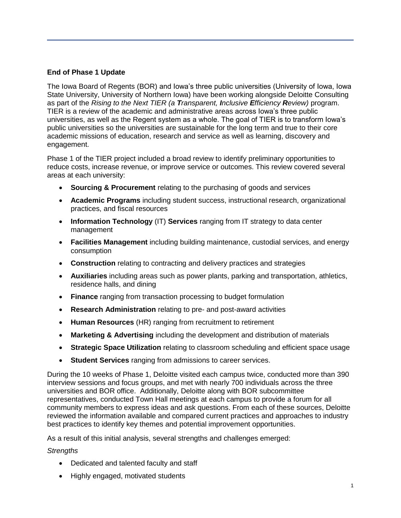## **End of Phase 1 Update**

The Iowa Board of Regents (BOR) and Iowa's three public universities (University of Iowa, Iowa State University, University of Northern Iowa) have been working alongside Deloitte Consulting as part of the *Rising to the Next TIER (a Transparent, Inclusive Efficiency Review)* program. TIER is a review of the academic and administrative areas across Iowa's three public universities, as well as the Regent system as a whole. The goal of TIER is to transform Iowa's public universities so the universities are sustainable for the long term and true to their core academic missions of education, research and service as well as learning, discovery and engagement.

Phase 1 of the TIER project included a broad review to identify preliminary opportunities to reduce costs, increase revenue, or improve service or outcomes. This review covered several areas at each university:

- **Sourcing & Procurement** relating to the purchasing of goods and services
- **Academic Programs** including student success, instructional research, organizational practices, and fiscal resources
- **Information Technology** (IT) **Services** ranging from IT strategy to data center management
- **Facilities Management** including building maintenance, custodial services, and energy consumption
- **Construction** relating to contracting and delivery practices and strategies
- **Auxiliaries** including areas such as power plants, parking and transportation, athletics, residence halls, and dining
- **Finance** ranging from transaction processing to budget formulation
- **Research Administration** relating to pre- and post-award activities
- **Human Resources** (HR) ranging from recruitment to retirement
- **Marketing & Advertising** including the development and distribution of materials
- **Strategic Space Utilization** relating to classroom scheduling and efficient space usage
- **Student Services** ranging from admissions to career services.

During the 10 weeks of Phase 1, Deloitte visited each campus twice, conducted more than 390 interview sessions and focus groups, and met with nearly 700 individuals across the three universities and BOR office. Additionally, Deloitte along with BOR subcommittee representatives, conducted Town Hall meetings at each campus to provide a forum for all community members to express ideas and ask questions. From each of these sources, Deloitte reviewed the information available and compared current practices and approaches to industry best practices to identify key themes and potential improvement opportunities.

As a result of this initial analysis, several strengths and challenges emerged:

## *Strengths*

- Dedicated and talented faculty and staff
- Highly engaged, motivated students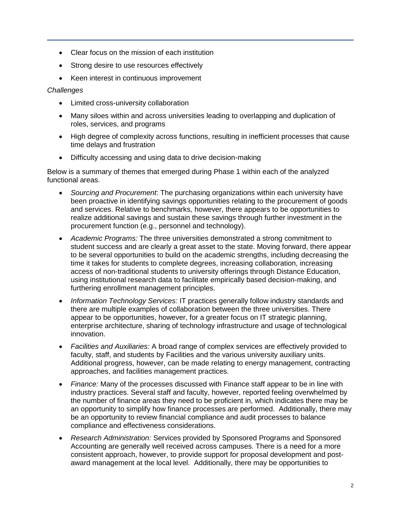- Clear focus on the mission of each institution
- Strong desire to use resources effectively
- Keen interest in continuous improvement

*Challenges*

- Limited cross-university collaboration
- Many siloes within and across universities leading to overlapping and duplication of roles, services, and programs
- High degree of complexity across functions, resulting in inefficient processes that cause time delays and frustration
- Difficulty accessing and using data to drive decision-making

Below is a summary of themes that emerged during Phase 1 within each of the analyzed functional areas.

- *Sourcing and Procurement*: The purchasing organizations within each university have been proactive in identifying savings opportunities relating to the procurement of goods and services. Relative to benchmarks, however, there appears to be opportunities to realize additional savings and sustain these savings through further investment in the procurement function (e.g., personnel and technology).
- *Academic Programs:* The three universities demonstrated a strong commitment to student success and are clearly a great asset to the state. Moving forward, there appear to be several opportunities to build on the academic strengths, including decreasing the time it takes for students to complete degrees, increasing collaboration, increasing access of non-traditional students to university offerings through Distance Education, using institutional research data to facilitate empirically based decision-making, and furthering enrollment management principles.
- *Information Technology Services:* IT practices generally follow industry standards and there are multiple examples of collaboration between the three universities. There appear to be opportunities, however, for a greater focus on IT strategic planning, enterprise architecture, sharing of technology infrastructure and usage of technological innovation.
- *Facilities and Auxiliaries:* A broad range of complex services are effectively provided to faculty, staff, and students by Facilities and the various university auxiliary units. Additional progress, however, can be made relating to energy management, contracting approaches, and facilities management practices.
- *Finance:* Many of the processes discussed with Finance staff appear to be in line with industry practices. Several staff and faculty, however, reported feeling overwhelmed by the number of finance areas they need to be proficient in, which indicates there may be an opportunity to simplify how finance processes are performed. Additionally, there may be an opportunity to review financial compliance and audit processes to balance compliance and effectiveness considerations.
- *Research Administration:* Services provided by Sponsored Programs and Sponsored Accounting are generally well received across campuses. There is a need for a more consistent approach, however, to provide support for proposal development and postaward management at the local level. Additionally, there may be opportunities to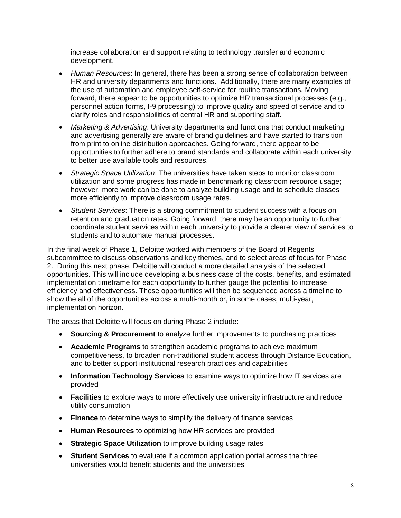increase collaboration and support relating to technology transfer and economic development.

- *Human Resources*: In general, there has been a strong sense of collaboration between HR and university departments and functions. Additionally, there are many examples of the use of automation and employee self-service for routine transactions. Moving forward, there appear to be opportunities to optimize HR transactional processes (e.g., personnel action forms, I-9 processing) to improve quality and speed of service and to clarify roles and responsibilities of central HR and supporting staff.
- *Marketing & Advertising*: University departments and functions that conduct marketing and advertising generally are aware of brand guidelines and have started to transition from print to online distribution approaches. Going forward, there appear to be opportunities to further adhere to brand standards and collaborate within each university to better use available tools and resources.
- *Strategic Space Utilization*: The universities have taken steps to monitor classroom utilization and some progress has made in benchmarking classroom resource usage; however, more work can be done to analyze building usage and to schedule classes more efficiently to improve classroom usage rates.
- *Student Services*: There is a strong commitment to student success with a focus on retention and graduation rates. Going forward, there may be an opportunity to further coordinate student services within each university to provide a clearer view of services to students and to automate manual processes.

In the final week of Phase 1, Deloitte worked with members of the Board of Regents subcommittee to discuss observations and key themes, and to select areas of focus for Phase 2. During this next phase, Deloitte will conduct a more detailed analysis of the selected opportunities. This will include developing a business case of the costs, benefits, and estimated implementation timeframe for each opportunity to further gauge the potential to increase efficiency and effectiveness. These opportunities will then be sequenced across a timeline to show the all of the opportunities across a multi-month or, in some cases, multi-year, implementation horizon.

The areas that Deloitte will focus on during Phase 2 include:

- **Sourcing & Procurement** to analyze further improvements to purchasing practices
- **Academic Programs** to strengthen academic programs to achieve maximum competitiveness, to broaden non-traditional student access through Distance Education, and to better support institutional research practices and capabilities
- **Information Technology Services** to examine ways to optimize how IT services are provided
- **Facilities** to explore ways to more effectively use university infrastructure and reduce utility consumption
- **Finance** to determine ways to simplify the delivery of finance services
- **Human Resources** to optimizing how HR services are provided
- **Strategic Space Utilization** to improve building usage rates
- **Student Services** to evaluate if a common application portal across the three universities would benefit students and the universities